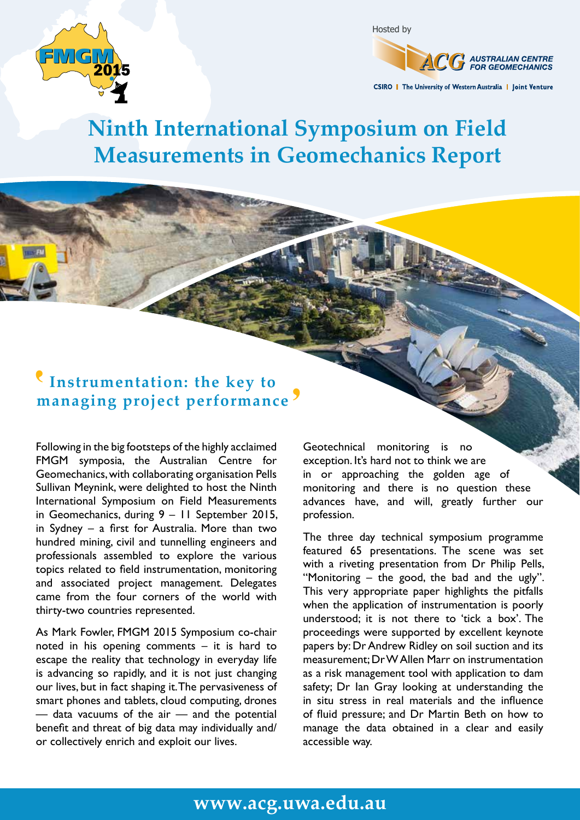



CSIRO | The University of Western Australia | Joint Venture

## **Ninth International Symposium on Field Measurements in Geomechanics Report**

## **Instrumentation: the key to**  '**managing project performance**'

Following in the big footsteps of the highly acclaimed FMGM symposia, the Australian Centre for Geomechanics, with collaborating organisation Pells Sullivan Meynink, were delighted to host the Ninth International Symposium on Field Measurements in Geomechanics, during 9 – 11 September 2015, in Sydney – a first for Australia. More than two hundred mining, civil and tunnelling engineers and professionals assembled to explore the various topics related to field instrumentation, monitoring and associated project management. Delegates came from the four corners of the world with thirty-two countries represented.

As Mark Fowler, FMGM 2015 Symposium co-chair noted in his opening comments – it is hard to escape the reality that technology in everyday life is advancing so rapidly, and it is not just changing our lives, but in fact shaping it. The pervasiveness of smart phones and tablets, cloud computing, drones — data vacuums of the air — and the potential benefit and threat of big data may individually and/ or collectively enrich and exploit our lives.

Geotechnical monitoring is no exception. It's hard not to think we are in or approaching the golden age of monitoring and there is no question these advances have, and will, greatly further our profession.

The three day technical symposium programme featured 65 presentations. The scene was set with a riveting presentation from Dr Philip Pells, "Monitoring – the good, the bad and the ugly". This very appropriate paper highlights the pitfalls when the application of instrumentation is poorly understood; it is not there to 'tick a box'. The proceedings were supported by excellent keynote papers by: Dr Andrew Ridley on soil suction and its measurement; Dr W Allen Marr on instrumentation as a risk management tool with application to dam safety; Dr Ian Gray looking at understanding the in situ stress in real materials and the influence of fluid pressure; and Dr Martin Beth on how to manage the data obtained in a clear and easily accessible way.